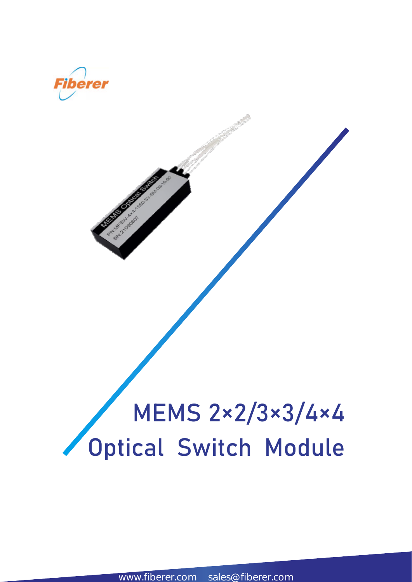

www.fiberer.com sales@fiberer.com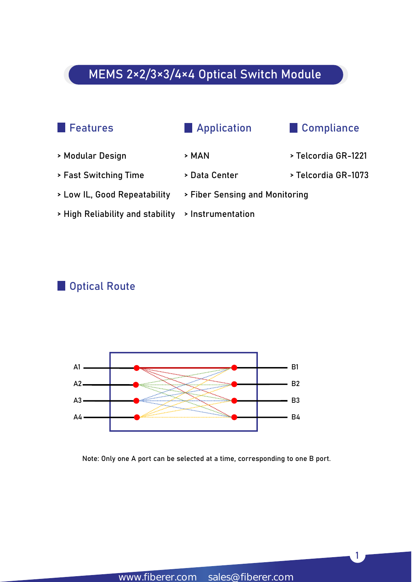

> Modular Design > MAN > Telcordia GR-1221 > Fast Switching Time > Data Center > Telcordia GR-1073 > Low IL, Good Repeatability > Fiber Sensing and Monitoring > High Reliability and stability > Instrumentation

#### **Optical Route**



Note: Only one A port can be selected at a time, corresponding to one B port.

1 and 10 and 10 and 10 and 10 and 10 and 10 and 10 and 10 and 10 and 10 and 10 and 10 and 10 and 10 and 10 and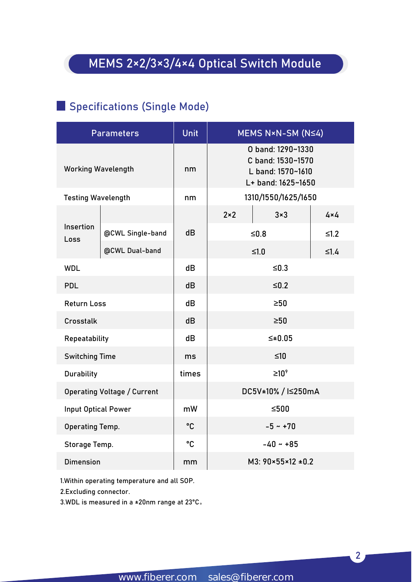### Specifications (Single Mode)

|                            | <b>Parameters</b>                  | Unit  |              | MEMS N×N-SM (N≤4)                                                                 |             |
|----------------------------|------------------------------------|-------|--------------|-----------------------------------------------------------------------------------|-------------|
|                            | <b>Working Wavelength</b>          | nm    |              | O band: 1290~1330<br>C band: 1530~1570<br>L band: 1570~1610<br>L+ band: 1625~1650 |             |
| <b>Testing Wavelength</b>  |                                    | nm    |              | 1310/1550/1625/1650                                                               |             |
|                            |                                    |       | $2 \times 2$ | $3\times3$                                                                        | $4\times 4$ |
| Insertion<br>Loss          | @CWL Single-band                   | dB    |              | $≤0.8$                                                                            | $\leq1.2$   |
|                            | @CWL Dual-band                     |       |              | $≤1.0$                                                                            | $\leq 1.4$  |
| <b>WDL</b>                 |                                    | dB    |              | $≤0.3$                                                                            |             |
| <b>PDL</b>                 |                                    | dB    |              | $≤0.2$                                                                            |             |
| <b>Return Loss</b>         |                                    | dB    |              | $\geq 50$                                                                         |             |
| Crosstalk                  |                                    | dB    |              | $\geq 50$                                                                         |             |
| Repeatability              |                                    | dB    |              | $\leq \pm 0.05$                                                                   |             |
| <b>Switching Time</b>      |                                    | ms    |              | $≤10$                                                                             |             |
| <b>Durability</b>          |                                    | times |              | $\geq 10^9$                                                                       |             |
|                            | <b>Operating Voltage / Current</b> |       |              | DC5V±10% / I≤250mA                                                                |             |
| <b>Input Optical Power</b> |                                    | mW    |              | $≤500$                                                                            |             |
| <b>Operating Temp.</b>     |                                    | °C    |              | $-5 - +70$                                                                        |             |
| Storage Temp.              |                                    | °C    |              | $-40 - +85$                                                                       |             |
| <b>Dimension</b>           |                                    | mm    |              | $M3: 90 \times 55 \times 12 = 0.2$                                                |             |

1.Within operating temperature and all SOP.

2.Excluding connector.

3.WDL ismeasured in a ±20nm range at 23°C。

2 and 2 and 2 and 2 and 2 and 2 and 2 and 2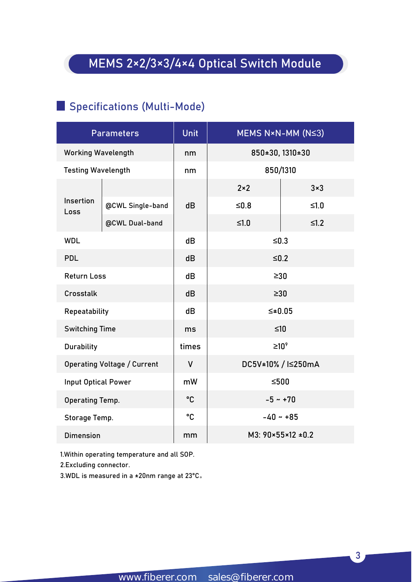#### Specifications (Multi-Mode)

|                            | <b>Parameters</b>                  | <b>Unit</b>     | MEMS N×N-MM (N≤3)                  |            |
|----------------------------|------------------------------------|-----------------|------------------------------------|------------|
| <b>Working Wavelength</b>  |                                    | nm              | 850±30, 1310±30                    |            |
| <b>Testing Wavelength</b>  |                                    | nm              | 850/1310                           |            |
|                            |                                    |                 | $2 \times 2$                       | $3\times3$ |
| Insertion<br>Loss          | @CWL Single-band                   | dB              | $≤0.8$                             | $≤1.0$     |
|                            | @CWL Dual-band                     |                 | $≤1.0$                             | $\leq1.2$  |
| <b>WDL</b>                 |                                    | dB              | $\leq 0.3$                         |            |
| <b>PDL</b>                 |                                    | dB              | $\leq 0.2$                         |            |
| <b>Return Loss</b>         |                                    | dB              | $\geq 30$                          |            |
| Crosstalk                  |                                    | dB              | $\geq 30$                          |            |
| Repeatability              |                                    | dB              | $≤±0.05$                           |            |
| <b>Switching Time</b>      |                                    | ms              | $≤10$                              |            |
| <b>Durability</b>          |                                    | times           | $\geq 10^9$                        |            |
|                            | <b>Operating Voltage / Current</b> | $\mathsf{V}$    | DC5V±10% / I≤250mA                 |            |
| <b>Input Optical Power</b> |                                    | mW              | $≤500$                             |            |
| <b>Operating Temp.</b>     |                                    | $\rm ^{\circ}C$ | $-5 - +70$                         |            |
| Storage Temp.              |                                    | °C              | $-40 - 85$                         |            |
| <b>Dimension</b>           |                                    | mm              | M3: $90 \times 55 \times 12 = 0.2$ |            |

1.Within operating temperature and all SOP.

2.Excluding connector.

3.WDL is measured in a ±20nm range at 23℃.

3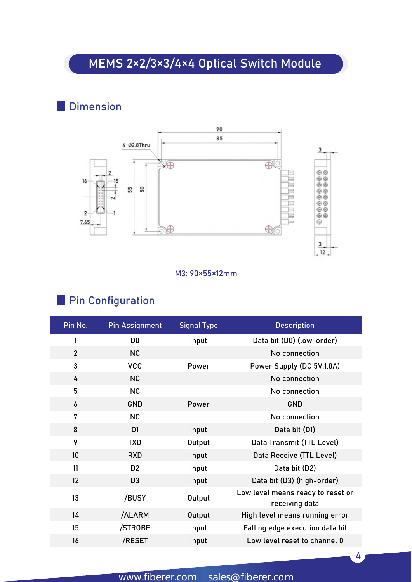### **Dimension**



#### M3: 90×55×12mm

### **Pin Configuration**

| Pin No.          | <b>Pin Assignment</b> | <b>Signal Type</b> | <b>Description</b>                                  |
|------------------|-----------------------|--------------------|-----------------------------------------------------|
|                  | D <sub>0</sub>        | Input              | Data bit (D0) (low-order)                           |
| $\overline{2}$   | NC                    |                    | No connection                                       |
| 3                | <b>VCC</b>            | Power              | Power Supply (DC 5V, 1.0A)                          |
| 4                | NC                    |                    | No connection                                       |
| 5                | NC                    |                    | No connection                                       |
| 6                | <b>GND</b>            | Power              | <b>GND</b>                                          |
| 7                | NC                    |                    | No connection                                       |
| 8                | D <sub>1</sub>        | Input              | Data bit (D1)                                       |
| 9                | <b>TXD</b>            | Output             | Data Transmit (TTL Level)                           |
| 10 <sup>°</sup>  | <b>RXD</b>            | Input              | Data Receive (TTL Level)                            |
| 11               | D <sub>2</sub>        | Input              | Data bit (D2)                                       |
| 12               | D <sub>3</sub>        | Input              | Data bit (D3) (high-order)                          |
| 13               | /BUSY                 | Output             | Low level means ready to reset or<br>receiving data |
| 14               | /ALARM                | Output             | High level means running error                      |
| 15 <sub>15</sub> | /STROBE               | Input              | Falling edge execution data bit                     |
| 16               | /RESET                | Input              | Low level reset to channel 0                        |